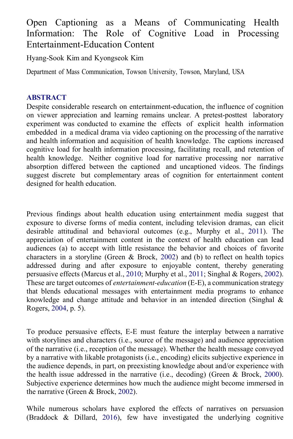# Open Captioning as a Means of Communicating Health Information: The Role of Cognitive [Load in](https://crossmark.crossref.org/dialog/?doi=10.1080/08838151.2020.1796392&domain=pdf&date_stamp=2020-09-12) Processing Entertainment-Education Content

Hyang-Sook Kim and Kyongseok Kim

Department of Mass Communication, Towson University, Towson, Maryland, USA

### **ABSTRACT**

Despite considerable research on entertainment-education, the influence of cognition on viewer appreciation and learning remains unclear. A pretest-posttest laboratory experiment was conducted to examine the effects of explicit health information embedded in a medical drama via video captioning on the processing of the narrative and health information and acquisition of health knowledge. The captions increased cognitive load for health information processing, facilitating recall, and retention of health knowledge. Neither cognitive load for narrative processing nor narrative absorption differed between the captioned and uncaptioned videos. The findings suggest discrete but complementary areas of cognition for entertainment content designed for health education.

<span id="page-0-3"></span><span id="page-0-2"></span><span id="page-0-1"></span>Previous findings about health education using entertainment media suggest that exposure to diverse forms of media content, including television dramas, can elicit desirable attitudinal and behavioral outcomes (e.g., Murphy et al., [2011\)](#page-18-0). The appreciation of entertainment content in the context of health education can lead audiences (a) to accept with little resistance the behavior and choices of favorite characters in a storyline (Green & Brock, [2002\)](#page-16-0) and (b) to reflect on health topics addressed during and after exposure to enjoyable content, thereby generating persuasive effects (Marcus et al., [2010;](#page-18-1) Murphy et al., [2011;](#page-18-0) Singhal & Rogers[, 2002\)](#page-19-0). These are target outcomes of *entertainment-education* (E-E), a communication strategy that blends educational messages with entertainment media programs to enhance knowledge and change attitude and behavior in an intended direction (Singhal  $\&$ Rogers[, 2004,](#page-19-1) p. 5).

<span id="page-0-4"></span>To produce persuasive effects, E-E must feature the interplay between a narrative with storylines and characters (i.e., source of the message) and audience appreciation of the narrative (i.e., reception of the message). Whether the health message conveyed by a narrative with likable protagonists (i.e., encoding) elicits subjective experience in the audience depends, in part, on preexisting knowledge about and/or experience with the health issue addressed in the narrative (i.e., decoding) (Green & Brock, [2000\)](#page-17-0). Subjective experience determines how much the audience might become immersed in the narrative (Green & Brock, [2002\)](#page-16-0).

<span id="page-0-0"></span>While numerous scholars have explored the effects of narratives on persuasion (Braddock & Dillard, [2016\)](#page-15-0), few have investigated the underlying cognitive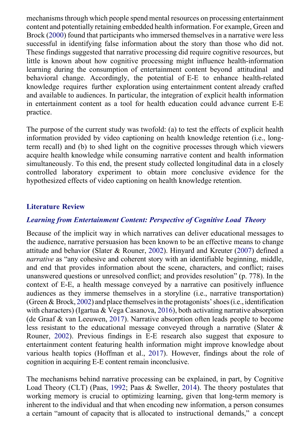<span id="page-1-1"></span>mechanisms through which people spend mental resources on processing entertainment content and potentially retaining embedded health information. For example, Green and Brock [\(2000\)](#page-17-0) found that participants who immersed themselves in a narrative were less successful in identifying false information about the story than those who did not. These findings suggested that narrative processing did require cognitive resources, but little is known about how cognitive processing might influence health-information learning during the consumption of entertainment content beyond attitudinal and behavioral change. Accordingly, the potential of E-E to enhance health-related knowledge requires further exploration using entertainment content already crafted and available to audiences. In particular, the integration of explicit health information in entertainment content as a tool for health education could advance current E-E practice.

The purpose of the current study was twofold: (a) to test the effects of explicit health information provided by video captioning on health knowledge retention (i.e., longterm recall) and (b) to shed light on the cognitive processes through which viewers acquire health knowledge while consuming narrative content and health information simultaneously. To this end, the present study collected longitudinal data in a closely controlled laboratory experiment to obtain more conclusive evidence for the hypothesized effects of video captioning on health knowledge retention.

#### **Literature Review**

#### *Learning from Entertainment Content: Perspective of Cognitive Load Theory*

<span id="page-1-6"></span><span id="page-1-4"></span><span id="page-1-2"></span>Because of the implicit way in which narratives can deliver educational messages to the audience, narrative persuasion has been known to be an effective means to change attitude and behavior (Slater & Rouner, [2002\)](#page-19-2). Hinyard and Kreuter [\(2007\)](#page-17-1) defined a *narrative* as "any cohesive and coherent story with an identifiable beginning, middle, and end that provides information about the scene, characters, and conflict; raises unanswered questions or unresolved conflict; and provides resolution" (p. 778). In the context of E-E, a health message conveyed by a narrative can positively influence audiences as they immerse themselves in a storyline (i.e., narrative transportation) (Green & Brock, [2002\)](#page-16-0) and place themselvesin the protagonists'shoes(i.e., identification with characters) (Igartua & Vega Casanova[, 2016\)](#page-17-2), both activating narrative absorption (de Graaf & van Leeuwen, [2017\)](#page-16-1). Narrative absorption often leads people to become less resistant to the educational message conveyed through a narrative (Slater & Rouner, [2002\)](#page-19-2). Previous findings in E-E research also suggest that exposure to entertainment content featuring health information might improve knowledge about various health topics (Hoffman et al., [2017\)](#page-17-3). However, findings about the role of cognition in acquiring E-E content remain inconclusive.

<span id="page-1-5"></span><span id="page-1-3"></span><span id="page-1-0"></span>The mechanisms behind narrative processing can be explained, in part, by Cognitive Load Theory (CLT) (Paas, [1992;](#page-19-3) Paas & Sweller, [2014\)](#page-19-4). The theory postulates that working memory is crucial to optimizing learning, given that long-term memory is inherent to the individual and that when encoding new information, a person consumes a certain "amount of capacity that is allocated to instructional demands," a concept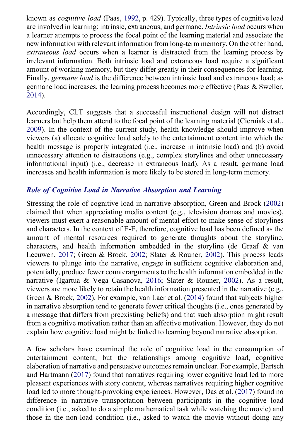known as *cognitive load* (Paas, [1992,](#page-19-3) p. 429). Typically, three types of cognitive load are involved in learning: intrinsic, extraneous, and germane. *Intrinsic load* occurs when a learner attempts to process the focal point of the learning material and associate the new information with relevant information from long-term memory. On the other hand, *extraneous load* occurs when a learner is distracted from the learning process by irrelevant information. Both intrinsic load and extraneous load require a significant amount of working memory, but they differ greatly in their consequences for learning. Finally, *germane load* is the difference between intrinsic load and extraneous load; as germane load increases, the learning process becomes more effective (Paas & Sweller, [2014\)](#page-19-4).

<span id="page-2-2"></span><span id="page-2-1"></span>Accordingly, CLT suggests that a successful instructional design will not distract learners but help them attend to the focal point of the learning material (Cierniak et al., [2009\)](#page-16-2). In the context of the current study, health knowledge should improve when viewers (a) allocate cognitive load solely to the entertainment content into which the health message is properly integrated (i.e., increase in intrinsic load) and (b) avoid unnecessary attention to distractions (e.g., complex storylines and other unnecessary informational input) (i.e., decrease in extraneous load). As a result, germane load increases and health information is more likely to be stored in long-term memory.

### *Role of Cognitive Load in Narrative Absorption and Learning*

Stressing the role of cognitive load in narrative absorption, Green and Brock [\(2002\)](#page-16-0) claimed that when appreciating media content (e.g., television dramas and movies), viewers must exert a reasonable amount of mental effort to make sense of storylines and characters. In the context of E-E, therefore, cognitive load has been defined as the amount of mental resources required to generate thoughts about the storyline, characters, and health information embedded in the storyline (de Graaf & van Leeuwen, [2017;](#page-16-1) Green & Brock, [2002;](#page-16-0) Slater & Rouner, [2002\)](#page-19-2). This process leads viewers to plunge into the narrative, engage in sufficient cognitive elaboration and, potentially, produce fewer counterarguments to the health information embedded in the narrative (Igartua & Vega Casanova, [2016;](#page-17-2) Slater & Rouner, [2002\)](#page-19-2). As a result, viewers are more likely to retain the health information presented in the narrative (e.g., Green & Brock, [2002\)](#page-16-0). For example, van Laer et al. [\(2014\)](#page-20-0) found that subjects higher in narrative absorption tend to generate fewer critical thoughts (i.e., ones generated by a message that differs from preexisting beliefs) and that such absorption might result from a cognitive motivation rather than an affective motivation. However, they do not explain how cognitive load might be linked to learning beyond narrative absorption.

<span id="page-2-3"></span><span id="page-2-0"></span>A few scholars have examined the role of cognitive load in the consumption of entertainment content, but the relationships among cognitive load, cognitive elaboration of narrative and persuasive outcomes remain unclear. For example, Bartsch and Hartmann [\(2017\)](#page-15-1) found that narratives requiring lower cognitive load led to more pleasant experiences with story content, whereas narratives requiring higher cognitive load led to more thought-provoking experiences. However, Das et al. [\(2017\)](#page-16-3) found no difference in narrative transportation between participants in the cognitive load condition (i.e., asked to do a simple mathematical task while watching the movie) and those in the non-load condition (i.e., asked to watch the movie without doing any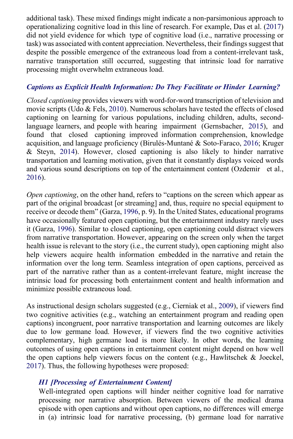<span id="page-3-1"></span>additional task). These mixed findings might indicate a non-parsimonious approach to operationalizing cognitive load in this line of research. For example, Das et al. [\(2017\)](#page-16-3) did not yield evidence for which type of cognitive load (i.e., narrative processing or task) was associated with content appreciation. Nevertheless, their findings suggest that despite the possible emergence of the extraneous load from a content-irrelevant task, narrative transportation still occurred, suggesting that intrinsic load for narrative processing might overwhelm extraneous load.

### *Captions as Explicit Health Information: Do They Facilitate or Hinder Learning?*

<span id="page-3-6"></span><span id="page-3-3"></span><span id="page-3-0"></span>*Closed captioning* provides viewers with word-for-word transcription of television and movie scripts (Udo & Fels[, 2010\)](#page-19-5). Numerous scholars have tested the effects of closed captioning on learning for various populations, including children, adults, secondlanguage learners, and people with hearing impairment (Gernsbacher, [2015\)](#page-16-4), and found that closed captioning improved information comprehension, knowledge acquisition, and language proficiency (Birulés-Muntané & Soto-Faraco, [2016;](#page-15-2) Kruger & Steyn, [2014\)](#page-17-4). However, closed captioning is also likely to hinder narrative transportation and learning motivation, given that it constantly displays voiced words and various sound descriptions on top of the entertainment content (Ozdemir et al., [2016\)](#page-19-6).

<span id="page-3-5"></span><span id="page-3-2"></span>*Open captioning*, on the other hand, refers to "captions on the screen which appear as part of the original broadcast [or streaming] and, thus, require no special equipment to receive or decode them" (Garza[, 1996,](#page-16-5) p. 9). In the United States, educational programs have occasionally featured open captioning, but the entertainment industry rarely uses it (Garza, [1996\)](#page-16-5). Similar to closed captioning, open captioning could distract viewers from narrative transportation. However, appearing on the screen only when the target health issue is relevant to the story (i.e., the current study), open captioning might also help viewers acquire health information embedded in the narrative and retain the information over the long term. Seamless integration of open captions, perceived as part of the narrative rather than as a content-irrelevant feature, might increase the intrinsic load for processing both entertainment content and health information and minimize possible extraneous load.

As instructional design scholars suggested (e.g., Cierniak et al., [2009\)](#page-16-2), if viewers find two cognitive activities (e.g., watching an entertainment program and reading open captions) incongruent, poor narrative transportation and learning outcomes are likely due to low germane load. However, if viewers find the two cognitive activities complementary, high germane load is more likely. In other words, the learning outcomes of using open captions in entertainment content might depend on how well the open captions help viewers focus on the content (e.g., Hawlitschek & Joeckel, [2017\)](#page-17-5). Thus, the following hypotheses were proposed:

### <span id="page-3-4"></span>*H1 [Processing of Entertainment Content]*

Well-integrated open captions will hinder neither cognitive load for narrative processing nor narrative absorption. Between viewers of the medical drama episode with open captions and without open captions, no differences will emerge in (a) intrinsic load for narrative processing, (b) germane load for narrative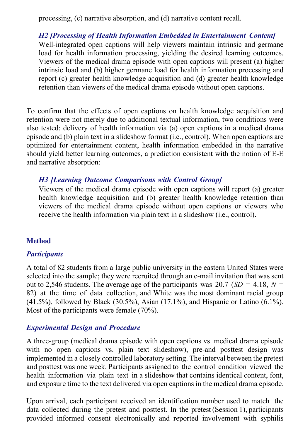processing, (c) narrative absorption, and (d) narrative content recall.

*H2 [Processing of Health Information Embedded in Entertainment Content]* Well-integrated open captions will help viewers maintain intrinsic and germane load for health information processing, yielding the desired learning outcomes. Viewers of the medical drama episode with open captions will present (a) higher intrinsic load and (b) higher germane load for health information processing and report (c) greater health knowledge acquisition and (d) greater health knowledge retention than viewers of the medical drama episode without open captions.

To confirm that the effects of open captions on health knowledge acquisition and retention were not merely due to additional textual information, two conditions were also tested: delivery of health information via (a) open captions in a medical drama episode and (b) plain text in a slideshow format (i.e., control). When open captions are optimized for entertainment content, health information embedded in the narrative should yield better learning outcomes, a prediction consistent with the notion of E-E and narrative absorption:

### *H3 [Learning Outcome Comparisons with Control Group]*

Viewers of the medical drama episode with open captions will report (a) greater health knowledge acquisition and (b) greater health knowledge retention than viewers of the medical drama episode without open captions or viewers who receive the health information via plain text in a slideshow (i.e., control).

### **Method**

#### *Participants*

A total of 82 students from a large public university in the eastern United States were selected into the sample; they were recruited through an e-mail invitation that was sent out to 2,546 students. The average age of the participants was 20.7 ( $SD = 4.18$ ,  $N =$ 82) at the time of data collection, and White was the most dominant racial group (41.5%), followed by Black (30.5%), Asian (17.1%), and Hispanic or Latino (6.1%). Most of the participants were female (70%).

#### *Experimental Design and Procedure*

A three-group (medical drama episode with open captions vs. medical drama episode with no open captions vs. plain text slideshow), pre-and posttest design was implemented in a closely controlled laboratory setting. The interval between the pretest and posttest was one week. Participants assigned to the control condition viewed the health information via plain text in a slideshow that contains identical content, font, and exposure time to the text delivered via open captions in the medical drama episode.

Upon arrival, each participant received an identification number used to match the data collected during the pretest and posttest. In the pretest (Session 1), participants provided informed consent electronically and reported involvement with syphilis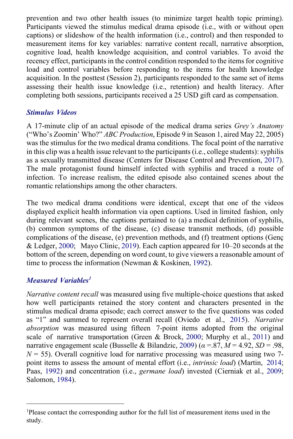prevention and two other health issues (to minimize target health topic priming). Participants viewed the stimulus medical drama episode (i.e., with or without open captions) or slideshow of the health information (i.e., control) and then responded to measurement items for key variables: narrative content recall, narrative absorption, cognitive load, health knowledge acquisition, and control variables. To avoid the recency effect, participants in the control condition responded to the items for cognitive load and control variables before responding to the items for health knowledge acquisition. In the posttest (Session 2), participants responded to the same set of items assessing their health issue knowledge (i.e., retention) and health literacy. After completing both sessions, participants received a 25 USD gift card as compensation.

### *Stimulus Videos*

<span id="page-5-2"></span>A 17-minute clip of an actual episode of the medical drama series *Grey's Anatomy*  ("Who's Zoomin' Who?" *ABC Production*, Episode 9 in Season 1, aired May 22, 2005) was the stimulus for the two medical drama conditions. The focal point of the narrative in this clip was a health issue relevant to the participants (i.e., college students): syphilis as a sexually transmitted disease (Centers for Disease Control and Prevention, [2017\)](#page-15-3). The male protagonist found himself infected with syphilis and traced a route of infection. To increase realism, the edited episode also contained scenes about the romantic relationships among the other characters.

<span id="page-5-5"></span><span id="page-5-3"></span>The two medical drama conditions were identical, except that one of the videos displayed explicit health information via open captions. Used in limited fashion, only during relevant scenes, the captions pertained to (a) a medical definition of syphilis, (b) common symptoms of the disease, (c) disease transmit methods, (d) possible complications of the disease, (e) prevention methods, and (f) treatment options (Genç & Ledger[, 2000;](#page-16-6) Mayo Clinic, [2019\)](#page-18-2). Each caption appeared for 10–20 seconds at the bottom of the screen, depending on word count, to give viewers a reasonable amount of time to process the information (Newman & Koskinen, [1992\)](#page-18-3).

# <span id="page-5-6"></span>*Measured Variables [1](#page-5-0)*

<span id="page-5-7"></span><span id="page-5-4"></span><span id="page-5-1"></span>*Narrative content recall* was measured using five multiple-choice questions that asked how well participants retained the story content and characters presented in the stimulus medical drama episode; each correct answer to the five questions was coded as "1" and summed to represent overall recall (Oviedo et al., [2015\)](#page-18-4). *Narrative absorption* was measured using fifteen 7-point items adopted from the original scale of narrative transportation (Green & Brock, [2000;](#page-17-0) Murphy et al., [2011\)](#page-18-0) and narrative engagement scale (Busselle & Bilandzic, [2009\)](#page-15-4) (*α* =.87, *M* = 4.92, *SD* = .98,  $N = 55$ ). Overall cognitive load for narrative processing was measured using two 7point items to assess the amount of mental effort (i.e., *intrinsic load*) (Martin, [2014;](#page-18-5) Paas, [1992\)](#page-19-3) and concentration (i.e., *germane load*) invested (Cierniak et al., [2009;](#page-16-2) Salomon[, 1984\)](#page-19-7).

<span id="page-5-8"></span><span id="page-5-0"></span><sup>&</sup>lt;sup>1</sup>Please contact the corresponding author for the full list of measurement items used in the study.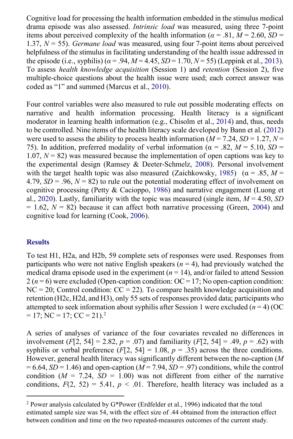<span id="page-6-5"></span>Cognitive load for processing the health information embedded in the stimulus medical drama episode was also assessed. *Intrinsic load* was measured, using three 7-point items about perceived complexity of the health information ( $\alpha = .81$ ,  $M = 2.60$ , *SD* = 1.37, *N* = 55). *Germane load* was measured, using four 7-point items about perceived helpfulness of the stimulus in facilitating understanding of the health issue addressed in the episode (i.e., syphilis) ( $\alpha$  = .94,  $M$  = 4.45,  $SD$  = 1.70,  $N$  = 55) (Leppink et al., [2013\)](#page-18-6). To assess *health knowledge acquisition* (Session 1) and *retention* (Session 2), five multiple-choice questions about the health issue were used; each correct answer was coded as "1" and summed (Marcus et al., [2010\)](#page-18-1).

<span id="page-6-9"></span><span id="page-6-8"></span><span id="page-6-7"></span><span id="page-6-2"></span><span id="page-6-1"></span>Four control variables were also measured to rule out possible moderating effects on narrative and health information processing. Health literacy is a significant moderator in learning health information (e.g., Chisolm et al., [2014\)](#page-15-5) and, thus, needs to be controlled. Nine items of the health literacy scale developed by Bann et al. [\(2012\)](#page-15-6) were used to assess the ability to process health information ( $M = 7.24$ ,  $SD = 1.27$ ,  $N =$ 75). In addition, preferred modality of verbal information ( $\alpha = .82$ ,  $M = 5.10$ ,  $SD =$ 1.07,  $N = 82$ ) was measured because the implementation of open captions was key to the experimental design (Ramsey & Deeter-Schmelz, [2008\)](#page-19-8). Personal involvement with the target health topic was also measured (Zaichkowsky, [1985\)](#page-20-1) ( $\alpha = .85$ ,  $M =$ 4.79,  $SD = .96$ ,  $N = 82$ ) to rule out the potential moderating effect of involvement on cognitive processing (Petty & Cacioppo, [1986\)](#page-19-9) and narrative engagement (Luong et al., [2020\)](#page-18-7). Lastly, familiarity with the topic was measured (single item,  $M = 4.50$ , *SD*  $= 1.62$ ,  $N = 82$ ) because it can affect both narrative processing (Green, [2004\)](#page-16-7) and cognitive load for learning (Cook[, 2006\)](#page-16-8).

#### <span id="page-6-6"></span><span id="page-6-4"></span><span id="page-6-3"></span>**Results**

 $= 17$ ; NC  $= 17$ ; CC  $= 21$  $= 21$  $= 21$ ).<sup>2</sup> To test H1, H2a, and H2b, 59 complete sets of responses were used. Responses from participants who were not native English speakers  $(n = 4)$ , had previously watched the medical drama episode used in the experiment  $(n = 14)$ , and/or failed to attend Session  $2 (n = 6)$  were excluded (Open-caption condition: OC = 17; No open-caption condition:  $NC = 20$ ; Control condition:  $CC = 22$ ). To compare health knowledge acquisition and retention (H2c, H2d, and H3), only 55 sets of responses provided data; participants who attempted to seek information about syphilis after Session 1 were excluded  $(n = 4)$  (OC)

A series of analyses of variance of the four covariates revealed no differences in involvement (*F*[2, 54] = 2.82, *p* = .07) and familiarity (*F*[2, 54] = .49, *p* = .62) with syphilis or verbal preference  $(F[2, 54] = 1.08, p = .35)$  across the three conditions. However, general health literacy was significantly different between the no-caption (*M*   $= 6.64$ , *SD* = 1.46) and open-caption (*M* = 7.94, *SD* = .97) conditions, while the control condition  $(M = 7.24, SD = 1.00)$  was not different from either of the narrative conditions,  $F(2, 52) = 5.41$ ,  $p < .01$ . Therefore, health literacy was included as a

<span id="page-6-0"></span> $2$  Power analysis calculated by G\*Power (Erdfelder et al., 1996) indicated that the total estimated sample size was 54, with the effect size of .44 obtained from the interaction effect between condition and time on the two repeated-measures outcomes of the current study.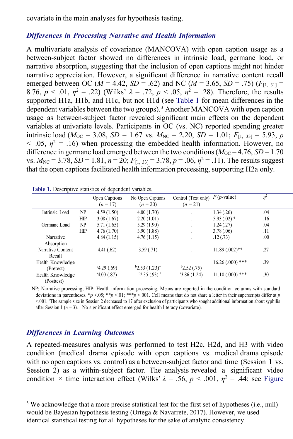covariate in the main analyses for hypothesis testing.

#### *Differences in Processing Narrative and Health Information*

A multivariate analysis of covariance (MANCOVA) with open caption usage as a between-subject factor showed no differences in intrinsic load, germane load, or narrative absorption, suggesting that the inclusion of open captions might not hinder narrative appreciation. However, a significant difference in narrative content recall emerged between OC ( $M = 4.42$ ,  $SD = .62$ ) and NC ( $M = 3.65$ ,  $SD = .75$ ) ( $F_{[1, 31]} =$ 8.76,  $p < .01$ ,  $\eta^2 = .22$ ) (Wilks'  $\lambda = .72$ ,  $p < .05$ ,  $\eta^2 = .28$ ). Therefore, the results supported H1a, H1b, and H1c, but not H1d (see [Table 1 f](#page-7-0)or mean differences in the dependent variables between the two groups).<sup>[3](#page-7-1)</sup> Another MANCOVA with open caption usage as between-subject factor revealed significant main effects on the dependent variables at univariate levels. Participants in OC (vs. NC) reported spending greater intrinsic load ( $M_{OC} = 3.08$ , *SD* = 1.67 vs.  $M_{NC} = 2.20$ , *SD* = 1.01;  $F_{[1, 33]} = 5.93$ , *p*  $<$  0.05,  $\eta$ <sup>2</sup> = 0.16) when processing the embedded health information. However, no difference in germane load emerged between the two conditions  $(M_{OC} = 4.76, SD = 1.70$ vs.  $M_{\text{NC}} = 3.78$ ,  $SD = 1.81$ ,  $n = 20$ ;  $F_{[1, 33]} = 3.78$ ,  $p = .06$ ,  $n^2 = .11$ ). The results suggest that the open captions facilitated health information processing, supporting H2a only.

|                   |     | Open Captions<br>$(n = 17)$ | No Open Captions<br>$(n = 20)$ | Control (Text only)<br>$(n = 21)$ | $F(p$ -value)     | $\eta^2$ |
|-------------------|-----|-----------------------------|--------------------------------|-----------------------------------|-------------------|----------|
| Intrinsic Load    | NP  | 4.59(1.50)                  | 4.00(1.70)                     | $\cdot$                           | 1.34(.26)         | .04      |
|                   | HIP | 3.08(1.67)                  | 2.20(1.01)                     | $\cdot$                           | $5.93(.02)$ *     | .16      |
| Germane Load      | NP  | 5.71(1.65)                  | 5.29(1.90)                     | $\cdot$                           | 1.24(0.27)        | .04      |
|                   | HIP | 4.76(1.70)                  | 3.90(1.88)                     | $\cdot$                           | 3.78(.06)         | .11      |
| Narrative         |     | 4.84(1.15)                  | 4.76(1.15)                     | $\cdot$                           | .12(.73)          | .00.     |
| Absorption        |     |                             |                                |                                   |                   |          |
| Narrative Content |     | 4.41(.62)                   | 3.59(0.71)                     |                                   | $11.89(0.002)$ ** | .27      |
| Recall            |     |                             |                                |                                   |                   |          |
| Health Knowledge  |     |                             |                                |                                   | $16.26(0.00)$ *** | .39      |
| (Pretest)         |     | 4.29(0.69)                  | $b2.53(1.23)^+$                | b2.52(.75)                        |                   |          |
| Health Knowledge  |     | 4.00(0.87)                  | $b2.35(.93)$ <sup>+</sup>      | 43.86(1.24)                       | $11.10(.000)$ *** | .30      |
| (Posttest)        |     |                             |                                |                                   |                   |          |

<span id="page-7-0"></span>

| Table 1. Descriptive statistics of dependent variables. |
|---------------------------------------------------------|
|---------------------------------------------------------|

NP: Narrative processing; HIP: Health information processing. Means are reported in the condition columns with standard deviations in parentheses. \**p* <.05; \*\**p* <.01; \*\*\**p* <.001. Cell means that do not share a letter in their superscripts differ at *p* <.001. + The sample size in Session 2 decreased to 17 after exclusion of participants who sought additional information about syphilis after Session 1  $(n = 3)$ . No significant effect emerged for health literacy (covariate).

#### *Differences in Learning Outcomes*

A repeated-measures analysis was performed to test H2c, H2d, and H3 with video condition (medical drama episode with open captions vs. medical drama episode with no open captions vs. control) as a between-subject factor and time (Session 1 vs. Session 2) as a within-subject factor. The analysis revealed a significant video condition  $\times$  time interaction effect (Wilks'  $\lambda = .56$ ,  $p < .001$ ,  $\eta^2 = .44$ ; see Figure

<span id="page-7-1"></span><sup>&</sup>lt;sup>3</sup> We acknowledge that a more precise statistical test for the first set of hypotheses (i.e., null) would be Bayesian hypothesis testing (Ortega & Navarrete, 2017). However, we used identical statistical testing for all hypotheses for the sake of analytic consistency.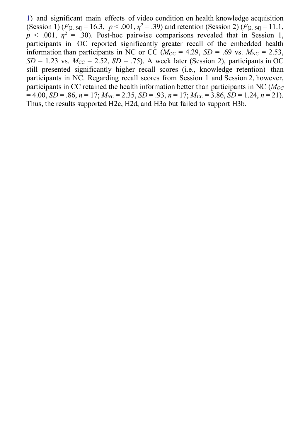<span id="page-8-0"></span>[1\)](#page-8-0) and significant main effects of video condition on health knowledge acquisition (Session 1)  $(F_{[2, 54]} = 16.3, p < .001, \eta^2 = .39)$  and retention (Session 2)  $(F_{[2, 54]} = 11.1,$  $p \le 0.001$ ,  $\eta^2 = 0.30$ . Post-hoc pairwise comparisons revealed that in Session 1, participants in OC reported significantly greater recall of the embedded health information than participants in NC or CC ( $M_{OC} = 4.29$ ,  $SD = .69$  vs.  $M_{NC} = 2.53$ ,  $SD = 1.23$  vs.  $M_{CC} = 2.52$ ,  $SD = .75$ ). A week later (Session 2), participants in OC still presented significantly higher recall scores (i.e., knowledge retention) than participants in NC. Regarding recall scores from Session 1 and Session 2, however, participants in CC retained the health information better than participants in NC (*MOC*  $= 4.00, SD = .86, n = 17; M<sub>NC</sub> = 2.35, SD = .93, n = 17; M<sub>CC</sub> = 3.86, SD = 1.24, n = 21$ . Thus, the results supported H2c, H2d, and H3a but failed to support H3b.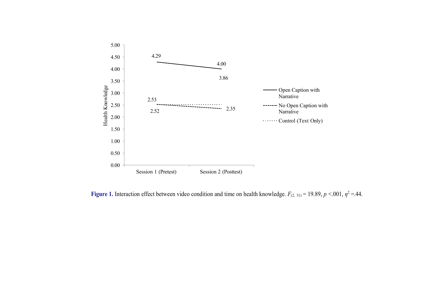

**Figure 1.** Interaction effect between video condition and time on health knowledge.  $F_{(2, 51)} = 19.89$ ,  $p < .001$ ,  $\eta^2 = .44$ .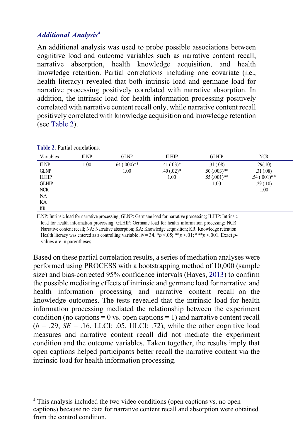### *Additional Analysis[4](#page-10-1)*

<span id="page-10-0"></span>**Table 2.** Partial correlations.

An additional analysis was used to probe possible associations between cognitive load and outcome variables such as narrative content recall, narrative absorption, health knowledge acquisition, and health knowledge retention. Partial correlations including one covariate (i.e., health literacy) revealed that both intrinsic load and germane load for narrative processing positively correlated with narrative absorption. In addition, the intrinsic load for health information processing positively correlated with narrative content recall only, while narrative content recall positively correlated with knowledge acquisition and knowledge retention (see [Table 2\)](#page-10-0).

| Variables    | <b>ILNP</b> | <b>GLNP</b>      | <b>ILHIP</b> | <b>GLHIP</b>      | <b>NCR</b>     |
|--------------|-------------|------------------|--------------|-------------------|----------------|
| <b>ILNP</b>  | 1.00        | $.64 \,(.000)**$ | $.41(.03)*$  | .31(.08)          | .29(.10)       |
| <b>GLNP</b>  |             | 1.00             | $.40(.02)*$  | $.50 \,(.003)$ ** | .31(.08)       |
| <b>ILHIP</b> |             |                  | 1.00         | $.55(.001)$ **    | $.54(.001)$ ** |
| <b>GLHIP</b> |             |                  |              | 1.00              | .29(.10)       |
| <b>NCR</b>   |             |                  |              |                   | 1.00           |
| NA           |             |                  |              |                   |                |
| KA           |             |                  |              |                   |                |
| KR           |             |                  |              |                   |                |

ILNP: Intrinsic load for narrative processing; GLNP: Germane load for narrative processing; ILHIP: Intrinsic load for health information processing; GLHIP: Germane load for health information processing; NCR: Narrative content recall; NA: Narrative absorption; KA: Knowledge acquisition; KR: Knowledge retention. Health literacy was entered as a controlling variable.  $N = 34$ .  $*\bar{p} < 0.05$ ;  $**\bar{p} < 0.01$ ;  $***\bar{p} < 0.001$ . Exact *p*values are in parentheses.

<span id="page-10-2"></span>Based on these partial correlation results, a series of mediation analyses were performed using PROCESS with a bootstrapping method of 10,000 (sample size) and bias-corrected 95% confidence intervals (Hayes, [2013\)](#page-17-6) to confirm the possible mediating effects of intrinsic and germane load for narrative and health information processing and narrative content recall on the knowledge outcomes. The tests revealed that the intrinsic load for health information processing mediated the relationship between the experiment condition (no captions  $= 0$  vs. open captions  $= 1$ ) and narrative content recall  $(b = .29, SE = .16, LLCI: .05, ULCI: .72)$ , while the other cognitive load measures and narrative content recall did not mediate the experiment condition and the outcome variables. Taken together, the results imply that open captions helped participants better recall the narrative content via the intrinsic load for health information processing.

<span id="page-10-1"></span><sup>&</sup>lt;sup>4</sup> This analysis included the two video conditions (open captions vs. no open captions) because no data for narrative content recall and absorption were obtained from the control condition.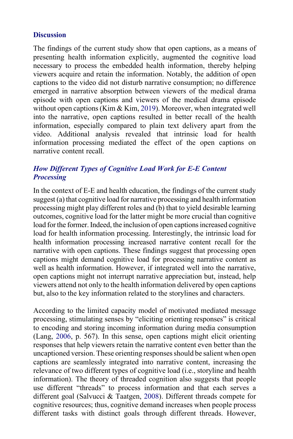#### **Discussion**

<span id="page-11-0"></span>The findings of the current study show that open captions, as a means of presenting health information explicitly, augmented the cognitive load necessary to process the embedded health information, thereby helping viewers acquire and retain the information. Notably, the addition of open captions to the video did not disturb narrative consumption; no difference emerged in narrative absorption between viewers of the medical drama episode with open captions and viewers of the medical drama episode without open captions (Kim & Kim[, 2019\)](#page-17-7). Moreover, when integrated well into the narrative, open captions resulted in better recall of the health information, especially compared to plain text delivery apart from the video. Additional analysis revealed that intrinsic load for health information processing mediated the effect of the open captions on narrative content recall.

## *How Different Types of Cognitive Load Work for E-E Content Processing*

In the context of E-E and health education, the findings of the current study suggest (a) that cognitive load for narrative processing and health information processing might play different roles and (b) that to yield desirable learning outcomes, cognitive load for the latter might be more crucial than cognitive load for the former. Indeed, the inclusion of open captions increased cognitive load for health information processing. Interestingly, the intrinsic load for health information processing increased narrative content recall for the narrative with open captions. These findings suggest that processing open captions might demand cognitive load for processing narrative content as well as health information. However, if integrated well into the narrative, open captions might not interrupt narrative appreciation but, instead, help viewers attend not only to the health information delivered by open captions but, also to the key information related to the storylines and characters.

<span id="page-11-1"></span>According to the limited capacity model of motivated mediated message processing, stimulating senses by "eliciting orienting responses" is critical to encoding and storing incoming information during media consumption (Lang, [2006,](#page-18-8) p. 567). In this sense, open captions might elicit orienting responses that help viewers retain the narrative content even better than the uncaptioned version. These orienting responses should be salient when open captions are seamlessly integrated into narrative content, increasing the relevance of two different types of cognitive load (i.e., storyline and health information). The theory of threaded cognition also suggests that people use different "threads" to process information and that each serves a different goal (Salvucci & Taatgen, [2008\)](#page-19-10). Different threads compete for cognitive resources; thus, cognitive demand increases when people process different tasks with distinct goals through different threads. However,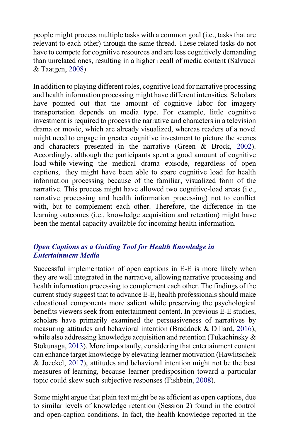<span id="page-12-1"></span>people might process multiple tasks with a common goal (i.e., tasks that are relevant to each other) through the same thread. These related tasks do not have to compete for cognitive resources and are less cognitively demanding than unrelated ones, resulting in a higher recall of media content (Salvucci & Taatgen, [2008\)](#page-19-10).

In addition to playing different roles, cognitive load for narrative processing and health information processing might have different intensities. Scholars have pointed out that the amount of cognitive labor for imagery transportation depends on media type. For example, little cognitive investment is required to process the narrative and characters in a television drama or movie, which are already visualized, whereas readers of a novel might need to engage in greater cognitive investment to picture the scenes and characters presented in the narrative (Green & Brock, [2002\)](#page-16-0). Accordingly, although the participants spent a good amount of cognitive load while viewing the medical drama episode, regardless of open captions, they might have been able to spare cognitive load for health information processing because of the familiar, visualized form of the narrative. This process might have allowed two cognitive-load areas (i.e., narrative processing and health information processing) not to conflict with, but to complement each other. Therefore, the difference in the learning outcomes (i.e., knowledge acquisition and retention) might have been the mental capacity available for incoming health information.

### *Open Captions as a Guiding Tool for Health Knowledge in Entertainment Media*

<span id="page-12-2"></span>Successful implementation of open captions in E-E is more likely when they are well integrated in the narrative, allowing narrative processing and health information processing to complement each other. The findings of the current study suggest that to advance E-E, health professionals should make educational components more salient while preserving the psychological benefits viewers seek from entertainment content. In previous E-E studies, scholars have primarily examined the persuasiveness of narratives by measuring attitudes and behavioral intention (Braddock & Dillard, [2016\)](#page-15-0), while also addressing knowledge acquisition and retention (Tukachinsky & Stokunaga[, 2013\)](#page-19-11). More importantly, considering that entertainment content can enhance target knowledge by elevating learner motivation (Hawlitschek & Joeckel, [2017\)](#page-17-5), attitudes and behavioral intention might not be the best measures of learning, because learner predisposition toward a particular topic could skew such subjective responses (Fishbein, [2008\)](#page-16-9).

<span id="page-12-0"></span>Some might argue that plain text might be as efficient as open captions, due to similar levels of knowledge retention (Session 2) found in the control and open-caption conditions. In fact, the health knowledge reported in the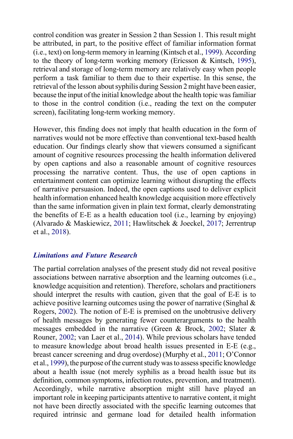<span id="page-13-2"></span><span id="page-13-1"></span>control condition was greater in Session 2 than Session 1. This result might be attributed, in part, to the positive effect of familiar information format (i.e., text) on long-term memory in learning (Kintsch et al., [1999\)](#page-17-8). According to the theory of long-term working memory (Ericsson & Kintsch, [1995\)](#page-16-10), retrieval and storage of long-term memory are relatively easy when people perform a task familiar to them due to their expertise. In this sense, the retrieval of the lesson about syphilis during Session 2 might have been easier, because the input ofthe initial knowledge about the health topic was familiar to those in the control condition (i.e., reading the text on the computer screen), facilitating long-term working memory.

However, this finding does not imply that health education in the form of narratives would not be more effective than conventional text-based health education. Our findings clearly show that viewers consumed a significant amount of cognitive resources processing the health information delivered by open captions and also a reasonable amount of cognitive resources processing the narrative content. Thus, the use of open captions in entertainment content can optimize learning without disrupting the effects of narrative persuasion. Indeed, the open captions used to deliver explicit health information enhanced health knowledge acquisition more effectively than the same information given in plain text format, clearly demonstrating the benefits of E-E as a health education tool (i.e., learning by enjoying) (Alvarado & Maskiewicz, [2011;](#page-15-7) Hawlitschek & Joeckel, [2017;](#page-17-5) Jerrentrup et al., [2018\)](#page-17-9).

#### <span id="page-13-0"></span>*Limitations and Future Research*

<span id="page-13-3"></span>The partial correlation analyses of the present study did not reveal positive associations between narrative absorption and the learning outcomes (i.e., knowledge acquisition and retention). Therefore, scholars and practitioners should interpret the results with caution, given that the goal of E-E is to achieve positive learning outcomes using the power of narrative (Singhal  $\&$ Rogers, [2002\)](#page-19-0). The notion of E-E is premised on the unobtrusive delivery of health messages by generating fewer counterarguments to the health messages embedded in the narrative (Green & Brock, [2002;](#page-16-0) Slater & Rouner, [2002;](#page-19-2) van Laer et al., [2014\)](#page-20-0). While previous scholars have tended to measure knowledge about broad health issues presented in E-E (e.g., breast cancer screening and drug overdose) (Murphy et al., [2011;](#page-18-0) O'Connor et al., [1999\)](#page-18-9), the purpose of the current study was to assess specific knowledge about a health issue (not merely syphilis as a broad health issue but its definition, common symptoms, infection routes, prevention, and treatment). Accordingly, while narrative absorption might still have played an important role in keeping participants attentive to narrative content, it might not have been directly associated with the specific learning outcomes that required intrinsic and germane load for detailed health information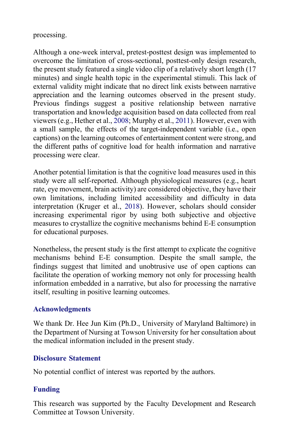### processing.

<span id="page-14-0"></span>Although a one-week interval, pretest-posttest design was implemented to overcome the limitation of cross-sectional, posttest-only design research, the present study featured a single video clip of a relatively short length (17 minutes) and single health topic in the experimental stimuli. This lack of external validity might indicate that no direct link exists between narrative appreciation and the learning outcomes observed in the present study. Previous findings suggest a positive relationship between narrative transportation and knowledge acquisition based on data collected from real viewers (e.g., Hether et al.[, 2008;](#page-17-10) Murphy et al., [2011\)](#page-18-0). However, even with a small sample, the effects of the target-independent variable (i.e., open captions) on the learning outcomes of entertainment content were strong, and the different paths of cognitive load for health information and narrative processing were clear.

<span id="page-14-1"></span>Another potential limitation is that the cognitive load measures used in this study were all self-reported. Although physiological measures (e.g., heart rate, eye movement, brain activity) are considered objective, they have their own limitations, including limited accessibility and difficulty in data interpretation (Kruger et al., [2018\)](#page-17-11). However, scholars should consider increasing experimental rigor by using both subjective and objective measures to crystallize the cognitive mechanisms behind E-E consumption for educational purposes.

Nonetheless, the present study is the first attempt to explicate the cognitive mechanisms behind E-E consumption. Despite the small sample, the findings suggest that limited and unobtrusive use of open captions can facilitate the operation of working memory not only for processing health information embedded in a narrative, but also for processing the narrative itself, resulting in positive learning outcomes.

### **Acknowledgments**

We thank Dr. Hee Jun Kim (Ph.D., University of Maryland Baltimore) in the Department of Nursing at Towson University for her consultation about the medical information included in the present study.

### **Disclosure Statement**

No potential conflict of interest was reported by the authors.

# **Funding**

This research was supported by the Faculty Development and Research Committee at Towson University.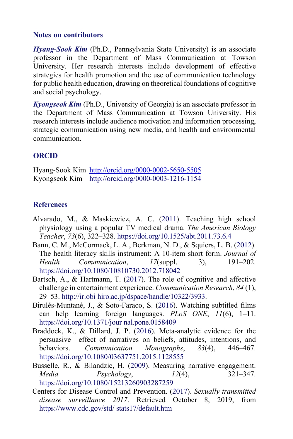#### **Notes on contributors**

*Hyang-Sook Kim* (Ph.D., Pennsylvania State University) is an associate professor in the Department of Mass Communication at Towson University. Her research interests include development of effective strategies for health promotion and the use of communication technology for public health education, drawing on theoretical foundations of cognitive and social psychology.

*Kyongseok Kim* (Ph.D., University of Georgia) is an associate professor in the Department of Mass Communication at Towson University. His research interests include audience motivation and information processing, strategic communication using new media, and health and environmental communication.

#### **ORCID**

Hyang-Sook Kim <http://orcid.org/0000-0002-5650-5505> Kyongseok Kim <http://orcid.org/0000-0003-1216-1154>

#### **References**

- <span id="page-15-7"></span>Alvarado, M., & Maskiewicz, A. C. [\(2011\)](#page-13-0). Teaching high school physiology using a popular TV medical drama. *The American Biology Teacher*, *73*(6), 322–328.<https://doi.org/10.1525/abt.2011.73.6.4>
- <span id="page-15-6"></span>Bann, C. M., McCormack, L. A., Berkman, N. D., & Squiers, L. B. [\(2012\)](#page-6-1). The health literacy skills instrument: A 10-item short form. *Journal of Health Communication*, *17*(suppl. 3), 191–202. <https://doi.org/10.1080/10810730.2012.718042>
- <span id="page-15-1"></span>Bartsch, A., & Hartmann, T. [\(2017\)](#page-2-0). The role of cognitive and affective challenge in entertainment experience. *Communication Research*, *84* (1), 29–53. [http://ir.obi](http://ir.obihiro.ac.jp/dspace/handle/10322/3933) [hiro.ac.jp/dspace/handle/10322/3933.](http://ir.obihiro.ac.jp/dspace/handle/10322/3933)
- <span id="page-15-2"></span>Birulés-Muntané, J., & Soto-Faraco, S. [\(2016\)](#page-3-0). Watching subtitled films can help learning foreign languages. *PLoS ONE*, *11*(6), 1–11. [https://doi.org/10.1371/jour](https://doi.org/10.1371/journal.pone.0158409) [nal.pone.0158409](https://doi.org/10.1371/journal.pone.0158409)
- <span id="page-15-0"></span>Braddock, K., & Dillard, J. P. [\(2016\)](#page-0-0). Meta-analytic evidence for the persuasive effect of narratives on beliefs, attitudes, intentions, and behaviors. *Communication Monographs*, *83*(4), 446–467. <https://doi.org/10.1080/03637751.2015.1128555>
- <span id="page-15-4"></span><span id="page-15-3"></span>Busselle, R., & Bilandzic, H. [\(2009\)](#page-5-1). Measuring narrative engagement. *Media Psychology*, *12*(4), 321–347. <https://doi.org/10.1080/15213260903287259>
- <span id="page-15-5"></span>Centers for Disease Control and Prevention. [\(2017\)](#page-5-2). *Sexually transmitted disease surveillance 2017*. Retrieved October 8, 2019, from [https://www.cdc.gov/std/](https://www.cdc.gov/std/stats17/default.htm) [stats17/default.htm](https://www.cdc.gov/std/stats17/default.htm)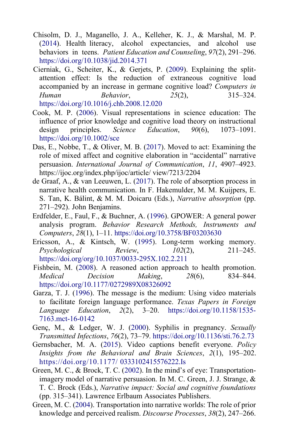- <span id="page-16-2"></span>Chisolm, D. J., Maganello, J. A., Kelleher, K. J., & Marshal, M. P. [\(2014\)](#page-6-2). Health literacy, alcohol expectancies, and alcohol use behaviors in teens. *Patient Education and Counseling*, *97*(2), 291–296. <https://doi.org/10.1038/jid.2014.371>
- Cierniak, G., Scheiter, K., & Gerjets, P. [\(2009\)](#page-2-1). Explaining the splitattention effect: Is the reduction of extraneous cognitive load accompanied by an increase in germane cognitive load? *Computers in Human Behavior*, *25*(2), 315–324. <https://doi.org/10.1016/j.chb.2008.12.020>
- <span id="page-16-8"></span><span id="page-16-3"></span>Cook, M. P. [\(2006\)](#page-6-3). Visual representations in science education: The influence of prior knowledge and cognitive load theory on instructional design principles. *Science Education*, *90*(6), 1073–1091. <https://doi.org/10.1002/sce>
- Das, E., Nobbe, T., & Oliver, M. B. [\(2017\)](#page-3-1). Moved to act: Examining the role of mixed affect and cognitive elaboration in "accidental" narrative persuasion. *International Journal of Communication*, *11*, 4907–4923. https://ijoc.org/index.php/ijoc/article/ view/7213/2204
- <span id="page-16-1"></span>de Graaf, A., & van Leeuwen, L. [\(2017\)](#page-1-0). The role of absorption process in narrative health communication. In F. Hakemulder, M. M. Kuijpers, E. S. Tan, K. Bálint, & M. M. Doicaru (Eds.), *Narrative absorption* (pp. 271–292). John Benjamins.
- Erdfelder, E., Faul, F., & Buchner, A. (1996). GPOWER: A general power analysis program. *Behavior Research Methods, Instruments and Computers*, *28*(1), 1–11.<https://doi.org/10.3758/BF03203630>
- <span id="page-16-10"></span><span id="page-16-9"></span>Ericsson, A., & Kintsch, W. [\(1995\)](#page-13-1). Long-term working memory. *Psychological Review*, *102*(2), 211–245. <https://doi.org/org/10.1037/0033-295X.102.2.211>
- <span id="page-16-5"></span>Fishbein, M. [\(2008\)](#page-12-0). A reasoned action approach to health promotion. *Medical Decision Making*, *28*(6), 834–844. <https://doi.org/10.1177/0272989X08326092>
- <span id="page-16-6"></span>Garza, T. J. [\(1996\)](#page-3-2). The message is the medium: Using video materials to facilitate foreign language performance. *Texas Papers in Foreign Language Education*, *2*(2), 3–20. [https://doi.org/10.1158/1535-](https://doi.org/10.1158/1535-7163.mct-16-0142) [7163.mct-16-0142](https://doi.org/10.1158/1535-7163.mct-16-0142)
- <span id="page-16-4"></span>Genç, M., & Ledger, W. J. [\(2000\)](#page-5-3). Syphilis in pregnancy. *Sexually Transmitted Infections*, *76*(2), 73–79.<https://doi.org/10.1136/sti.76.2.73>
- Gernsbacher, M. A. [\(2015\)](#page-3-3). Video captions benefit everyone. *Policy Insights from the Behavioral and Brain Sciences*, *2*(1), 195–202. [https://doi.org/10.1177/](https://doi.org/10.1177/0333102415576222.Is) [0333102415576222.Is](https://doi.org/10.1177/0333102415576222.Is)
- <span id="page-16-0"></span>Green, M. C., & Brock, T. C. [\(2002\)](#page-0-1). In the mind's of eye: Transportationimagery model of narrative persuasion. In M. C. Green, J. J. Strange, & T. C. Brock (Eds.), *Narrative impact: Social and cognitive foundations*  (pp. 315–341). Lawrence Erlbaum Associates Publishers.
- <span id="page-16-7"></span>Green, M. C. [\(2004\)](#page-6-4). Transportation into narrative worlds: The role of prior knowledge and perceived realism. *Discourse Processes*, *38*(2), 247–266.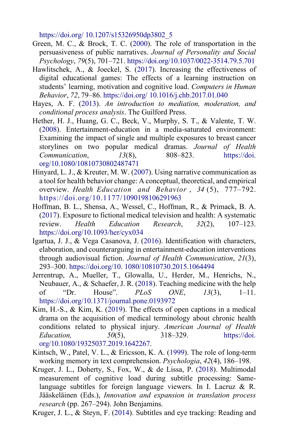<span id="page-17-5"></span><span id="page-17-0"></span>[https://doi.org/](https://doi.org/10.1207/s15326950dp3802_5) [10.1207/s15326950dp3802\\_5](https://doi.org/10.1207/s15326950dp3802_5)

- Green, M. C., & Brock, T. C. [\(2000\)](#page-1-1). The role of transportation in the persuasiveness of public narratives. *Journal of Personality and Social Psychology*, *79*(5), 701–721.<https://doi.org/10.1037/0022-3514.79.5.701>
- Hawlitschek, A., & Joeckel, S. [\(2017\)](#page-3-4). Increasing the effectiveness of digital educational games: The effects of a learning instruction on students' learning, motivation and cognitive load. *Computers in Human Behavior*, *72*, 79–86[. https://doi.org/](https://doi.org/10.1016/j.chb.2017.01.040) [10.1016/j.chb.2017.01.040](https://doi.org/10.1016/j.chb.2017.01.040)
- <span id="page-17-10"></span><span id="page-17-6"></span>Hayes, A. F. [\(2013\)](#page-10-2). *An introduction to mediation, moderation, and conditional process analysis*. The Guilford Press.
- Hether, H. J., Huang, G. C., Beck, V., Murphy, S. T., & Valente, T. W. [\(2008\)](#page-14-0). Entertainment-education in a media-saturated environment: Examining the impact of single and multiple exposures to breast cancer storylines on two popular medical dramas. *Journal of Health Communication*, *13*(8), 808–823. [https://doi.](https://doi.org/10.1080/10810730802487471) [org/10.1080/10810730802487471](https://doi.org/10.1080/10810730802487471)
- <span id="page-17-1"></span>Hinyard, L. J., & Kreuter, M. W. [\(2007\)](#page-1-2). Using narrative communication as a tool for health behavior change: A conceptual, theoretical, and empirical overview. *Health Education and Behavior* , *34* (5), 777–792. https://doi.org/10.1177[/1090198106291963](https://doi.org/10.1177/1090198106291963)
- <span id="page-17-3"></span><span id="page-17-2"></span>Hoffman, B. L., Shensa, A., Wessel, C., Hoffman, R., & Primack, B. A. [\(2017\)](#page-1-3). Exposure to fictional medical television and health: A systematic review. *Health Education Research*, *32*(2), 107–123. <https://doi.org/10.1093/her/cyx034>
- Igartua, J. J., & Vega Casanova, J. [\(2016\)](#page-1-4). Identification with characters, elaboration, and counterarguing in entertainment-education interventions through audiovisual fiction. *Journal of Health Communication*, *21*(3), 293–300. [https://doi.org/10.](https://doi.org/10.1080/10810730.2015.1064494) [1080/10810730.2015.1064494](https://doi.org/10.1080/10810730.2015.1064494)
- <span id="page-17-9"></span><span id="page-17-7"></span>Jerrentrup, A., Mueller, T., Glowalla, U., Herder, M., Henrichs, N., Neubauer, A., & Schaefer, J. R. [\(2018\)](#page-13-0). Teaching medicine with the help of "Dr. House". *PLoS ONE*, *13*(3), 1–11. <https://doi.org/10.1371/journal.pone.0193972>
- Kim, H.-S., & Kim, K. [\(2019\)](#page-11-0). The effects of open captions in a medical drama on the acquisition of medical terminology about chronic health conditions related to physical injury. *American Journal of Health Education, 50*(5), 318–329. https://doi. org/10.1080/19325037.2019.1642267.
- <span id="page-17-11"></span><span id="page-17-8"></span>Kintsch, W., Patel, V. L., & Ericsson, K. A. [\(1999\)](#page-13-2). The role of long-term working memory in text comprehension. *Psychologia*, *42*(4), 186–198.
- Kruger, J. L., Doherty, S., Fox, W., & de Lissa, P. [\(2018\)](#page-14-1). Multimodal measurement of cognitive load during subtitle processing: Samelanguage subtitles for foreign language viewers. In I. Lacruz & R. Jääskeläinen (Eds.), *Innovation and expansion in translation process research* (pp. 267–294). John Benjamins.
- <span id="page-17-4"></span>Kruger, J. L., & Steyn, F. [\(2014\)](#page-3-0). Subtitles and eye tracking: Reading and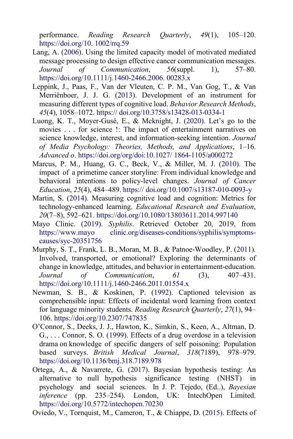<span id="page-18-8"></span><span id="page-18-6"></span>performance. *Reading Research Quarterly*, *49*(1), 105–120. [https://doi.org/10.](https://doi.org/10.1002/rrq.59) [1002/rrq.59](https://doi.org/10.1002/rrq.59)

- Lang, A. [\(2006\)](#page-11-1). Using the limited capacity model of motivated mediated message processing to design effective cancer communication messages. *Journal of Communication*, *56*(suppl. 1), 57–80. [https://doi.org/10.1111/j.1460-2466.2006.](https://doi.org/10.1111/j.1460-2466.2006.00283.x) [00283.x](https://doi.org/10.1111/j.1460-2466.2006.00283.x)
- Leppink, J., Paas, F., Van der Vleuten, C. P. M., Van Gog, T., & Van Merriënboer, J. J. G. [\(2013\)](#page-6-5). Development of an instrument for measuring different types of cognitive load. *Behavior Research Methods*, *45*(4), 1058–1072. [https://](https://doi.org/10.3758/s13428-013-0334-1) [doi.org/10.3758/s13428-013-0334-1](https://doi.org/10.3758/s13428-013-0334-1)
- <span id="page-18-7"></span>Luong, K. T., Moyer-Gusé, E., & Mcknight, J. [\(2020\)](#page-6-6). Let's go to the movies . . . for science !: The impact of entertainment narratives on science knowledge, interest, and information-seeking intention. *Journal of Media Psychology: Theories, Methods, and Applications*, 1–16. *Advanced o*. https://doi.org/org/doi:10.1027/ 1864-1105/a000272
- <span id="page-18-1"></span>Marcus, P. M., Huang, G. C., Beck, V., & Miller, M. J. [\(2010\)](#page-0-2). The impact of a primetime cancer storyline: From individual knowledge and behavioral intentions to policy-level changes. *Journal of Cancer Education*, *25*(4), 484–489. [https://](https://doi.org/10.1007/s13187-010-0093-y) [doi.org/10.1007/s13187-010-0093-y](https://doi.org/10.1007/s13187-010-0093-y)
- <span id="page-18-5"></span>Martin, S. [\(2014\)](#page-5-4). Measuring cognitive load and cognition: Metrics for technology-enhanced learning. *Educational Research and Evaluation*, *20*(7–8), 592–621.<https://doi.org/10.1080/13803611.2014.997140>
- <span id="page-18-2"></span><span id="page-18-0"></span>Mayo Clinic. [\(2019\)](#page-5-5). *Syphilis*. Retrieved October 20, 2019, from [https://www.mayo](https://www.mayoclinic.org/diseases-conditions/syphilis/symptoms-causes/syc-20351756) [clinic.org/diseases-conditions/syphilis/symptoms](https://www.mayoclinic.org/diseases-conditions/syphilis/symptoms-causes/syc-20351756)[causes/syc-20351756](https://www.mayoclinic.org/diseases-conditions/syphilis/symptoms-causes/syc-20351756)
- Murphy, S. T., Frank, L. B., Moran, M. B., & Patnoe-Woodley, P. [\(2011\)](#page-0-3). Involved, transported, or emotional? Exploring the determinants of change in knowledge, attitudes, and behavior in entertainment-education. *Journal of Communication*, *61* (3), 407–431. <https://doi.org/10.1111/j.1460-2466.2011.01554.x>
- <span id="page-18-3"></span>Newman, S. B., & Koskinen, P. [\(1992\)](#page-5-6). Captioned television as comprehensible input: Effects of incidental word learning from context for language minority students. *Reading Research Quarterly*, *27*(1), 94– 106.<https://doi.org/10.2307/747835>
- <span id="page-18-9"></span>O'Connor, S., Deeks, J. J., Hawton, K., Simkin, S., Keen, A., Altman, D. G., . . . Connor, S. O. [\(1999\)](#page-13-3). Effects of a drug overdose in a television drama on knowledge of specific dangers of self poisoning: Population based surveys. *British Medical Journal*, *318*(7189), 978–979. <https://doi.org/10.1136/bmj.318.7189.978>
- Ortega, A., & Navarrete, G. (2017). Bayesian hypothesis testing: An alternative to null hypothesis significance testing (NHST) in psychology and social sciences. In J. P. Tejedo, (Ed..), *Bayesian inference* (pp. 235–254). London, UK: IntechOpen Limited. <https://doi.org/10.5772/intechopen.70230>
- <span id="page-18-4"></span>Oviedo, V., Tornquist, M., Cameron, T., & Chiappe, D. [\(2015\)](#page-5-7). Effects of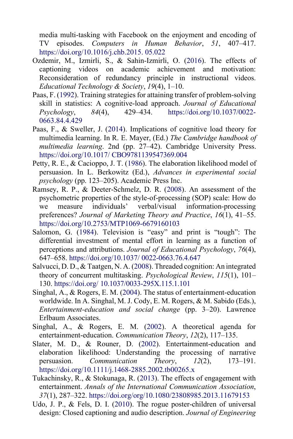<span id="page-19-6"></span><span id="page-19-3"></span>media multi-tasking with Facebook on the enjoyment and encoding of TV episodes. *Computers in Human Behavior*, *51*, 407–417. [https://doi.org/10.1016/j.chb.2015.](https://doi.org/10.1016/j.chb.2015.05.022) [05.022](https://doi.org/10.1016/j.chb.2015.05.022)

- Ozdemir, M., Izmirli, S., & Sahin-Izmirli, O. [\(2016\)](#page-3-5). The effects of captioning videos on academic achievement and motivation: Reconsideration of redundancy principle in instructional videos. *Educational Technology & Society*, *19*(4), 1–10.
- <span id="page-19-4"></span>Paas, F. [\(1992\)](#page-1-5). Training strategies for attaining transfer of problem-solving skill in statistics: A cognitive-load approach. *Journal of Educational Psychology*, *84*(4), 429–434. [https://doi.org/10.1037/0022-](https://doi.org/10.1037/0022-0663.84.4.429) [0663.84.4.429](https://doi.org/10.1037/0022-0663.84.4.429)
- Paas, F., & Sweller, J. [\(2014\)](#page-2-2). Implications of cognitive load theory for multimedia learning. In R. E. Mayer, (Ed.) *The Cambridge handbook of multimedia learning*. 2nd (pp. 27–42). Cambridge University Press. [https://doi.org/10.1017/](https://doi.org/10.1017/CBO9781139547369.004) [CBO9781139547369.004](https://doi.org/10.1017/CBO9781139547369.004)
- <span id="page-19-9"></span>Petty, R. E., & Cacioppo, J. T. [\(1986\)](#page-6-7). The elaboration likelihood model of persuasion. In L. Berkowitz (Ed.), *Advances in experimental social psychology* (pp. 123–205). Academic Press Inc.
- <span id="page-19-8"></span>Ramsey, R. P., & Deeter-Schmelz, D. R. [\(2008\)](#page-6-8). An assessment of the psychometric properties of the style-of-processing (SOP) scale: How do we measure individuals' verbal/visual information-processing preferences? *Journal of Marketing Theory and Practice*, *16*(1), 41–55. <https://doi.org/10.2753/MTP1069-6679160103>
- <span id="page-19-7"></span>Salomon, G. [\(1984\)](#page-5-8). Television is "easy" and print is "tough": The differential investment of mental effort in learning as a function of perceptions and attributions. *Journal of Educational Psychology*, *76*(4), 647–658. [https://doi.org/10.1037/](https://doi.org/10.1037/0022-0663.76.4.647) [0022-0663.76.4.647](https://doi.org/10.1037/0022-0663.76.4.647)
- <span id="page-19-10"></span>Salvucci, D. D., & Taatgen, N. A. [\(2008\)](#page-12-1). Threaded cognition: An integrated theory of concurrent multitasking. *Psychological Review*, *115*(1), 101– 130. [https://doi.org/](https://doi.org/10.1037/0033-295X.115.1.101) [10.1037/0033-295X.115.1.101](https://doi.org/10.1037/0033-295X.115.1.101)
- <span id="page-19-1"></span><span id="page-19-0"></span>Singhal, A., & Rogers, E. M. [\(2004\)](#page-0-4). The status of entertainment-education worldwide. In A. Singhal, M. J. Cody, E. M. Rogers, & M. Sabido (Eds.), *Entertainment-education and social change* (pp. 3–20). Lawrence Erlbaum Associates.
- <span id="page-19-2"></span>Singhal, A., & Rogers, E. M. [\(2002\)](#page-0-3). A theoretical agenda for entertainment-education. *Communication Theory*, *12*(2), 117–135.
- <span id="page-19-11"></span>Slater, M. D., & Rouner, D. [\(2002\)](#page-1-6). Entertainment-education and elaboration likelihood: Understanding the processing of narrative persuasion. *Communication Theory*, *12*(2), 173–191. <https://doi.org/10.1111/j.1468-2885.2002.tb00265.x>
- Tukachinsky, R., & Stokunaga, R. [\(2013\)](#page-12-2). The effects of engagement with entertainment. *Annals of the International Communication Association*, *37*(1), 287–322.<https://doi.org/org/10.1080/23808985.2013.11679153>
- <span id="page-19-5"></span>Udo, J. P., & Fels, D. I. [\(2010\)](#page-3-6). The rogue poster-children of universal design: Closed captioning and audio description. *Journal of Engineering*